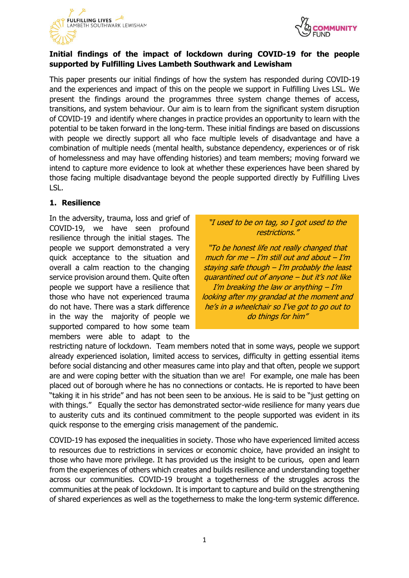



# **Initial findings of the impact of lockdown during COVID-19 for the people supported by Fulfilling Lives Lambeth Southwark and Lewisham**

This paper presents our initial findings of how the system has responded during COVID-19 and the experiences and impact of this on the people we support in Fulfilling Lives LSL. We present the findings around the programmes three system change themes of access, transitions, and system behaviour. Our aim is to learn from the significant system disruption of COVID-19 and identify where changes in practice provides an opportunity to learn with the potential to be taken forward in the long-term. These initial findings are based on discussions with people we directly support all who face multiple levels of disadvantage and have a combination of multiple needs (mental health, substance dependency, experiences or of risk of homelessness and may have offending histories) and team members; moving forward we intend to capture more evidence to look at whether these experiences have been shared by those facing multiple disadvantage beyond the people supported directly by Fulfilling Lives LSL.

### **1. Resilience**

In the adversity, trauma, loss and grief of COVID-19, we have seen profound resilience through the initial stages. The people we support demonstrated a very quick acceptance to the situation and overall a calm reaction to the changing service provision around them. Quite often people we support have a resilience that those who have not experienced trauma do not have. There was a stark difference in the way the majority of people we supported compared to how some team members were able to adapt to the

## "I used to be on tag, so I got used to the restrictions."

"To be honest life not really changed that much for me  $-$  I'm still out and about  $-$  I'm staying safe though  $-I/m$  probably the least quarantined out of anyone – but it's not like I'm breaking the law or anything  $-I'm$ looking after my grandad at the moment and he's in a wheelchair so I've got to go out to do things for him"

restricting nature of lockdown. Team members noted that in some ways, people we support already experienced isolation, limited access to services, difficulty in getting essential items before social distancing and other measures came into play and that often, people we support are and were coping better with the situation than we are! For example, one male has been placed out of borough where he has no connections or contacts. He is reported to have been "taking it in his stride" and has not been seen to be anxious. He is said to be "just getting on with things." Equally the sector has demonstrated sector-wide resilience for many years due to austerity cuts and its continued commitment to the people supported was evident in its quick response to the emerging crisis management of the pandemic.

COVID-19 has exposed the inequalities in society. Those who have experienced limited access to resources due to restrictions in services or economic choice, have provided an insight to those who have more privilege. It has provided us the insight to be curious, open and learn from the experiences of others which creates and builds resilience and understanding together across our communities. COVID-19 brought a togetherness of the struggles across the communities at the peak of lockdown. It is important to capture and build on the strengthening of shared experiences as well as the togetherness to make the long-term systemic difference.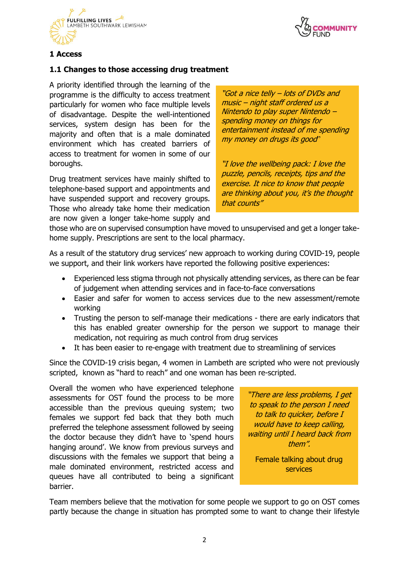



# **1 Access**

#### **1.1 Changes to those accessing drug treatment**

A priority identified through the learning of the programme is the difficulty to access treatment particularly for women who face multiple levels of disadvantage. Despite the well-intentioned services, system design has been for the majority and often that is a male dominated environment which has created barriers of access to treatment for women in some of our boroughs.

Drug treatment services have mainly shifted to telephone-based support and appointments and have suspended support and recovery groups. Those who already take home their medication are now given a longer take-home supply and

"Got a nice telly – lots of DVDs and music – night staff ordered us a Nintendo to play super Nintendo – spending money on things for entertainment instead of me spending my money on drugs its good"

"I love the wellbeing pack: I love the puzzle, pencils, receipts, tips and the exercise. It nice to know that people are thinking about you, it's the thought that counts"

those who are on supervised consumption have moved to unsupervised and get a longer takehome supply. Prescriptions are sent to the local pharmacy.

As a result of the statutory drug services' new approach to working during COVID-19, people we support, and their link workers have reported the following positive experiences:

- Experienced less stigma through not physically attending services, as there can be fear of judgement when attending services and in face-to-face conversations
- Easier and safer for women to access services due to the new assessment/remote working
- Trusting the person to self-manage their medications there are early indicators that this has enabled greater ownership for the person we support to manage their medication, not requiring as much control from drug services
- It has been easier to re-engage with treatment due to streamlining of services

Since the COVID-19 crisis began, 4 women in Lambeth are scripted who were not previously scripted, known as "hard to reach" and one woman has been re-scripted.

Overall the women who have experienced telephone assessments for OST found the process to be more accessible than the previous queuing system; two females we support fed back that they both much preferred the telephone assessment followed by seeing the doctor because they didn't have to 'spend hours hanging around'. We know from previous surveys and discussions with the females we support that being a male dominated environment, restricted access and queues have all contributed to being a significant barrier.

"There are less problems, I get to speak to the person I need to talk to quicker, before I would have to keep calling, waiting until I heard back from them".

Female talking about drug services

Team members believe that the motivation for some people we support to go on OST comes partly because the change in situation has prompted some to want to change their lifestyle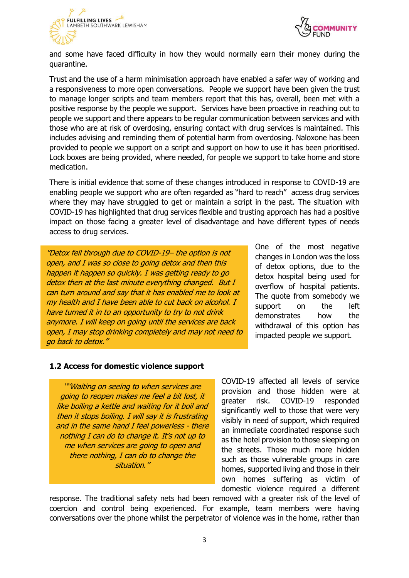



and some have faced difficulty in how they would normally earn their money during the quarantine.

Trust and the use of a harm minimisation approach have enabled a safer way of working and a responsiveness to more open conversations. People we support have been given the trust to manage longer scripts and team members report that this has, overall, been met with a positive response by the people we support. Services have been proactive in reaching out to people we support and there appears to be regular communication between services and with those who are at risk of overdosing, ensuring contact with drug services is maintained. This includes advising and reminding them of potential harm from overdosing. Naloxone has been provided to people we support on a script and support on how to use it has been prioritised. Lock boxes are being provided, where needed, for people we support to take home and store medication.

There is initial evidence that some of these changes introduced in response to COVID-19 are enabling people we support who are often regarded as "hard to reach" access drug services where they may have struggled to get or maintain a script in the past. The situation with COVID-19 has highlighted that drug services flexible and trusting approach has had a positive impact on those facing a greater level of disadvantage and have different types of needs access to drug services.

''Detox fell through due to COVID-19– the option is not open, and I was so close to going detox and then this happen it happen so quickly. I was getting ready to go detox then at the last minute everything changed. But I can turn around and say that it has enabled me to look at my health and I have been able to cut back on alcohol. I have turned it in to an opportunity to try to not drink anymore. I will keep on going until the services are back open, I may stop drinking completely and may not need to go back to detox.''

One of the most negative changes in London was the loss of detox options, due to the detox hospital being used for overflow of hospital patients. The quote from somebody we support on the left demonstrates how the withdrawal of this option has impacted people we support.

#### **1.2 Access for domestic violence support**

"'Waiting on seeing to when services are going to reopen makes me feel a bit lost, it like boiling a kettle and waiting for it boil and then it stops boiling. I will say it is frustrating and in the same hand I feel powerless - there nothing I can do to change it. It's not up to me when services are going to open and there nothing, I can do to change the situation.''

COVID-19 affected all levels of service provision and those hidden were at greater risk. COVID-19 responded significantly well to those that were very visibly in need of support, which required an immediate coordinated response such as the hotel provision to those sleeping on the streets. Those much more hidden such as those vulnerable groups in care homes, supported living and those in their own homes suffering as victim of domestic violence required a different

response. The traditional safety nets had been removed with a greater risk of the level of coercion and control being experienced. For example, team members were having conversations over the phone whilst the perpetrator of violence was in the home, rather than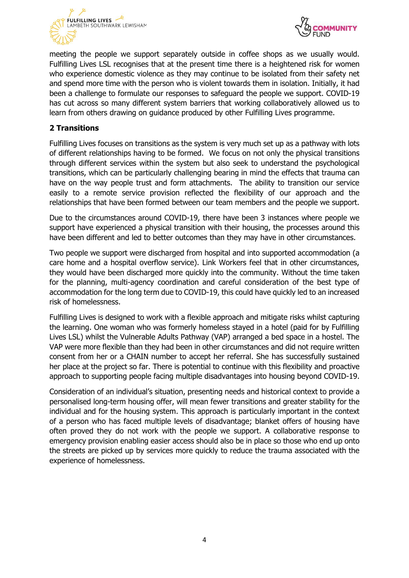



meeting the people we support separately outside in coffee shops as we usually would. Fulfilling Lives LSL recognises that at the present time there is a heightened risk for women who experience domestic violence as they may continue to be isolated from their safety net and spend more time with the person who is violent towards them in isolation. Initially, it had been a challenge to formulate our responses to safeguard the people we support. COVID-19 has cut across so many different system barriers that working collaboratively allowed us to learn from others drawing on guidance produced by other Fulfilling Lives programme.

# **2 Transitions**

Fulfilling Lives focuses on transitions as the system is very much set up as a pathway with lots of different relationships having to be formed. We focus on not only the physical transitions through different services within the system but also seek to understand the psychological transitions, which can be particularly challenging bearing in mind the effects that trauma can have on the way people trust and form attachments. The ability to transition our service easily to a remote service provision reflected the flexibility of our approach and the relationships that have been formed between our team members and the people we support.

Due to the circumstances around COVID-19, there have been 3 instances where people we support have experienced a physical transition with their housing, the processes around this have been different and led to better outcomes than they may have in other circumstances.

Two people we support were discharged from hospital and into supported accommodation (a care home and a hospital overflow service). Link Workers feel that in other circumstances, they would have been discharged more quickly into the community. Without the time taken for the planning, multi-agency coordination and careful consideration of the best type of accommodation for the long term due to COVID-19, this could have quickly led to an increased risk of homelessness.

Fulfilling Lives is designed to work with a flexible approach and mitigate risks whilst capturing the learning. One woman who was formerly homeless stayed in a hotel (paid for by Fulfilling Lives LSL) whilst the Vulnerable Adults Pathway (VAP) arranged a bed space in a hostel. The VAP were more flexible than they had been in other circumstances and did not require written consent from her or a CHAIN number to accept her referral. She has successfully sustained her place at the project so far. There is potential to continue with this flexibility and proactive approach to supporting people facing multiple disadvantages into housing beyond COVID-19.

Consideration of an individual's situation, presenting needs and historical context to provide a personalised long-term housing offer, will mean fewer transitions and greater stability for the individual and for the housing system. This approach is particularly important in the context of a person who has faced multiple levels of disadvantage; blanket offers of housing have often proved they do not work with the people we support. A collaborative response to emergency provision enabling easier access should also be in place so those who end up onto the streets are picked up by services more quickly to reduce the trauma associated with the experience of homelessness.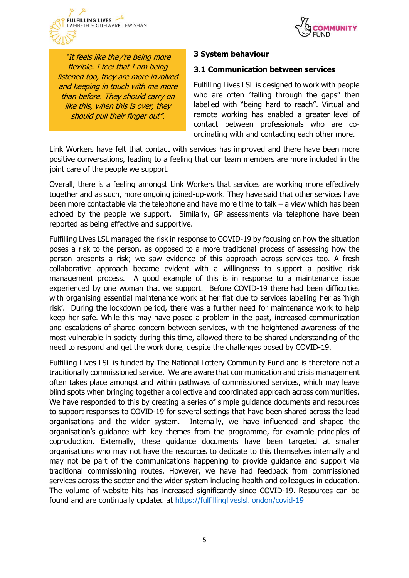



"It feels like they're being more flexible. I feel that I am being listened too, they are more involved and keeping in touch with me more than before. They should carry on like this, when this is over, they should pull their finger out".

### **3 System behaviour**

#### **3.1 Communication between services**

Fulfilling Lives LSL is designed to work with people who are often "falling through the gaps" then labelled with "being hard to reach". Virtual and remote working has enabled a greater level of contact between professionals who are coordinating with and contacting each other more.

Link Workers have felt that contact with services has improved and there have been more positive conversations, leading to a feeling that our team members are more included in the joint care of the people we support.

Overall, there is a feeling amongst Link Workers that services are working more effectively together and as such, more ongoing joined-up-work. They have said that other services have been more contactable via the telephone and have more time to talk – a view which has been echoed by the people we support. Similarly, GP assessments via telephone have been reported as being effective and supportive.

Fulfilling Lives LSL managed the risk in response to COVID-19 by focusing on how the situation poses a risk to the person, as opposed to a more traditional process of assessing how the person presents a risk; we saw evidence of this approach across services too. A fresh collaborative approach became evident with a willingness to support a positive risk management process. A good example of this is in response to a maintenance issue experienced by one woman that we support. Before COVID-19 there had been difficulties with organising essential maintenance work at her flat due to services labelling her as 'high risk'. During the lockdown period, there was a further need for maintenance work to help keep her safe. While this may have posed a problem in the past, increased communication and escalations of shared concern between services, with the heightened awareness of the most vulnerable in society during this time, allowed there to be shared understanding of the need to respond and get the work done, despite the challenges posed by COVID-19.

Fulfilling Lives LSL is funded by The National Lottery Community Fund and is therefore not a traditionally commissioned service. We are aware that communication and crisis management often takes place amongst and within pathways of commissioned services, which may leave blind spots when bringing together a collective and coordinated approach across communities. We have responded to this by creating a series of simple guidance documents and resources to support responses to COVID-19 for several settings that have been shared across the lead organisations and the wider system. Internally, we have influenced and shaped the organisation's guidance with key themes from the programme, for example principles of coproduction. Externally, these guidance documents have been targeted at smaller organisations who may not have the resources to dedicate to this themselves internally and may not be part of the communications happening to provide guidance and support via traditional commissioning routes. However, we have had feedback from commissioned services across the sector and the wider system including health and colleagues in education. The volume of website hits has increased significantly since COVID-19. Resources can be found and are continually updated at<https://fulfillingliveslsl.london/covid-19>